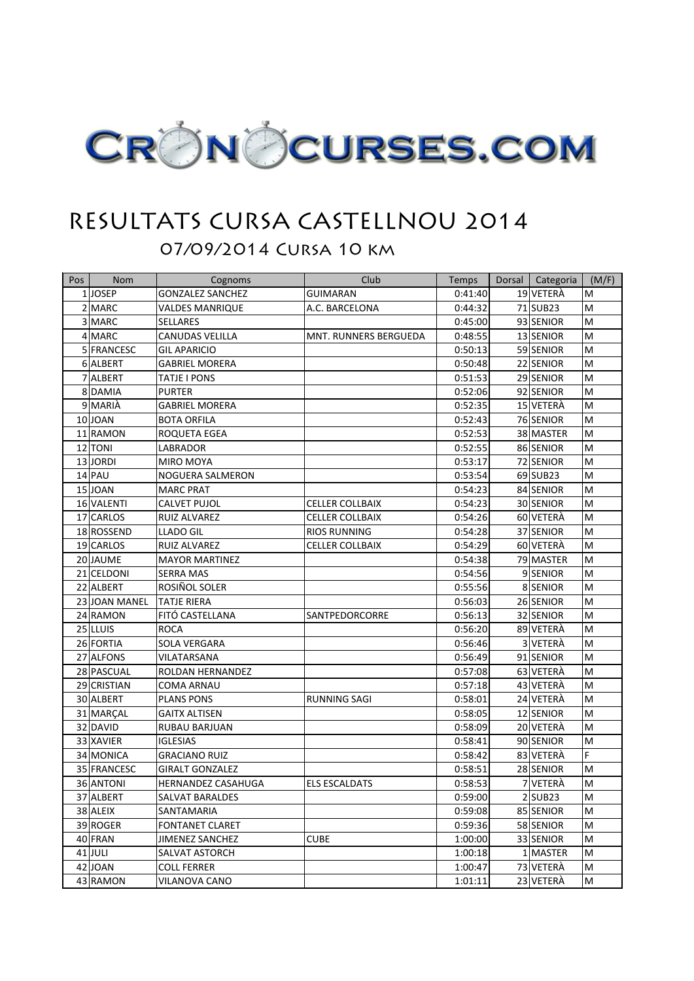

## RESULTATS CURSA CASTELLNOU 2014

07/09/2014 Cursa 10 km

| Pos | Nom           | Cognoms                 | Club                   | Temps   | Dorsal | Categoria             | (M/F)     |
|-----|---------------|-------------------------|------------------------|---------|--------|-----------------------|-----------|
|     | 1JOSEP        | <b>GONZALEZ SANCHEZ</b> | <b>GUIMARAN</b>        | 0:41:40 |        | 19 VETERÀ             | M         |
|     | 2 MARC        | <b>VALDES MANRIQUE</b>  | A.C. BARCELONA         | 0:44:32 |        | 71 SUB23              | M         |
|     | 3 MARC        | <b>SELLARES</b>         |                        | 0:45:00 |        | 93 SENIOR             | M         |
|     | 4 MARC        | <b>CANUDAS VELILLA</b>  | MNT. RUNNERS BERGUEDA  | 0:48:55 |        | 13 SENIOR             | M         |
|     | 5 FRANCESC    | <b>GIL APARICIO</b>     |                        | 0:50:13 |        | 59 SENIOR             | M         |
|     | 6 ALBERT      | <b>GABRIEL MORERA</b>   |                        | 0:50:48 |        | 22 SENIOR             | M         |
|     | 7 ALBERT      | TATJE I PONS            |                        | 0:51:53 |        | 29 SENIOR             | M         |
|     | 8 DAMIA       | <b>PURTER</b>           |                        | 0:52:06 |        | 92 SENIOR             | M         |
|     | 9 MARIA       | <b>GABRIEL MORERA</b>   |                        | 0:52:35 |        | 15 VETERA             | M         |
|     | 10 JOAN       | <b>BOTA ORFILA</b>      |                        | 0:52:43 |        | 76 SENIOR             | M         |
|     | 11 RAMON      | ROQUETA EGEA            |                        | 0:52:53 |        | 38 MASTER             | M         |
|     | 12 TONI       | LABRADOR                |                        | 0:52:55 |        | 86 SENIOR             | M         |
|     | 13JORDI       | MIRO MOYA               |                        | 0:53:17 |        | 72 SENIOR             | M         |
|     | 14 PAU        | NOGUERA SALMERON        |                        | 0:53:54 |        | 69 SUB23              | M         |
|     | 15 JOAN       | <b>MARC PRAT</b>        |                        | 0:54:23 |        | 84 SENIOR             | M         |
|     | 16 VALENTI    | <b>CALVET PUJOL</b>     | <b>CELLER COLLBAIX</b> | 0:54:23 |        | 30 SENIOR             | M         |
|     | 17 CARLOS     | <b>RUIZ ALVAREZ</b>     | <b>CELLER COLLBAIX</b> | 0:54:26 |        | 60 VETERÀ             | M         |
|     | 18 ROSSEND    | <b>LLADO GIL</b>        | <b>RIOS RUNNING</b>    | 0:54:28 |        | 37 SENIOR             | M         |
|     | 19 CARLOS     | RUIZ ALVAREZ            | <b>CELLER COLLBAIX</b> | 0:54:29 |        | 60 VETERA             | M         |
|     | 20 JAUME      | <b>MAYOR MARTINEZ</b>   |                        | 0:54:38 |        | 79 MASTER             | M         |
|     | 21 CELDONI    | <b>SERRA MAS</b>        |                        | 0:54:56 |        | 9SENIOR               | M         |
|     | 22 ALBERT     | ROSIÑOL SOLER           |                        | 0:55:56 |        | 8 SENIOR              | M         |
|     | 23 JOAN MANEL | <b>TATJE RIERA</b>      |                        | 0:56:03 |        | 26 SENIOR             | M         |
|     | 24 RAMON      | FITÓ CASTELLANA         | SANTPEDORCORRE         | 0:56:13 |        | 32 SENIOR             | M         |
|     | 25 LLUIS      | <b>ROCA</b>             |                        | 0:56:20 |        | 89 VETERÀ             | M         |
|     | 26 FORTIA     | <b>SOLA VERGARA</b>     |                        | 0:56:46 |        | 3 VETERA              | M         |
|     | 27 ALFONS     | VILATARSANA             |                        | 0:56:49 |        | 91 SENIOR             | M         |
|     | 28 PASCUAL    | ROLDAN HERNANDEZ        |                        | 0:57:08 |        | 63 VETERÀ             | M         |
|     | 29 CRISTIAN   | COMA ARNAU              |                        | 0:57:18 |        | 43 VETERÀ             | M         |
|     | 30 ALBERT     | <b>PLANS PONS</b>       | <b>RUNNING SAGI</b>    | 0:58:01 |        | 24 VETERÀ             | M         |
|     | 31 MARÇAL     | <b>GAITX ALTISEN</b>    |                        | 0:58:05 |        | 12 SENIOR             | M         |
|     | 32 DAVID      | RUBAU BARJUAN           |                        | 0:58:09 |        | 20 VETERA             | M         |
|     | 33 XAVIER     | <b>IGLESIAS</b>         |                        | 0:58:41 |        | 90 SENIOR             | M         |
|     | 34 MONICA     | <b>GRACIANO RUIZ</b>    |                        | 0:58:42 |        | 83 VETERA             | F         |
|     | 35 FRANCESC   | <b>GIRALT GONZALEZ</b>  |                        | 0:58:51 |        | 28 SENIOR             | M         |
|     | 36 ANTONI     | HERNANDEZ CASAHUGA      | <b>ELS ESCALDATS</b>   | 0:58:53 |        | 7 VETERÀ              | M         |
|     | 37 ALBERT     | <b>SALVAT BARALDES</b>  |                        | 0:59:00 |        | $2$ SUB <sub>23</sub> | M         |
|     | 38 ALEIX      | SANTAMARIA              |                        | 0:59:08 |        | 85 SENIOR             | M         |
|     | 39 ROGER      | <b>FONTANET CLARET</b>  |                        | 0:59:36 |        | 58 SENIOR             | M         |
|     | 40 FRAN       | <b>JIMENEZ SANCHEZ</b>  | <b>CUBE</b>            | 1:00:00 |        | 33 SENIOR             | M         |
|     | 41 JULI       | <b>SALVAT ASTORCH</b>   |                        | 1:00:18 |        | 1 MASTER              | M         |
|     | 42 JOAN       | <b>COLL FERRER</b>      |                        | 1:00:47 |        | 73 VETERÀ             | M         |
|     | 43 RAMON      | VILANOVA CANO           |                        | 1:01:11 |        | 23 VETERÀ             | ${\sf M}$ |